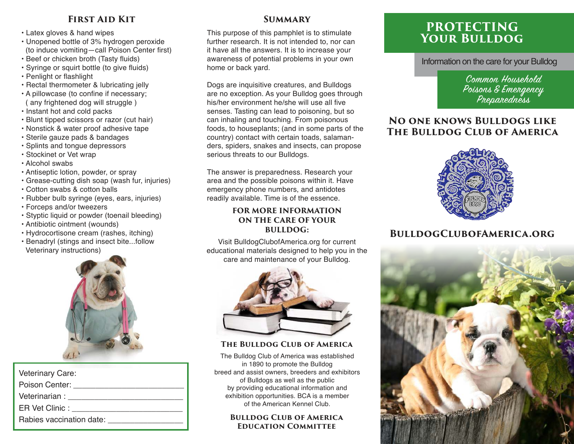## **First Aid Kit**

- Latex gloves & hand wipes
- Unopened bottle of 3% hydrogen peroxide (to induce vomiting—call Poison Center first)
- Beef or chicken broth (Tasty fluids)
- Syringe or squirt bottle (to give fluids)
- Penlight or flashlight
- Rectal thermometer & lubricating jelly
- A pillowcase (to confine if necessary; ( any frightened dog will struggle )
- Instant hot and cold packs
- Blunt tipped scissors or razor (cut hair)
- Nonstick & water proof adhesive tape
- Sterile gauze pads & bandages
- Splints and tongue depressors
- Stockinet or Vet wrap
- Alcohol swabs
- Antiseptic lotion, powder, or spray
- Grease-cutting dish soap (wash fur, injuries)
- Cotton swabs & cotton balls
- Rubber bulb syringe (eyes, ears, injuries)
- Forceps and/or tweezers
- Styptic liquid or powder (toenail bleeding)
- Antibiotic ointment (wounds)
- Hydrocortisone cream (rashes, itching)
- Benadryl (stings and insect bite...follow Veterinary instructions)



| <b>Veterinary Care:</b>  |
|--------------------------|
| Poison Center:           |
| Veterinarian :           |
| ER Vet Clinic :          |
| Rabies vaccination date: |

## **Summary**

This purpose of this pamphlet is to stimulate further research. It is not intended to, nor can it have all the answers. It is to increase your awareness of potential problems in your own home or back yard.

Dogs are inquisitive creatures, and Bulldogs are no exception. As your Bulldog goes through his/her environment he/she will use all five senses. Tasting can lead to poisoning, but so can inhaling and touching. From poisonous foods, to houseplants; (and in some parts of the country) contact with certain toads, salamanders, spiders, snakes and insects, can propose serious threats to our Bulldogs.

The answer is preparedness. Research your area and the possible poisons within it. Have emergency phone numbers, and antidotes readily available. Time is of the essence.

## **FOR MORE INFORMATION ON THE CARE OF YOUR BULLDOG:**

Visit BulldogClubofAmerica.org for current educational materials designed to help you in the care and maintenance of your Bulldog.



## **The Bulldog Club of America**

The Bulldog Club of America was established in 1890 to promote the Bulldog breed and assist owners, breeders and exhibitors of Bulldogs as well as the public by providing educational information and exhibition opportunities. BCA is a member of the American Kennel Club.

### **Bulldog Club of America Education Committee**

# **PROTECTING Your Bulldog**

Information on the care for your Bulldog

Common Household Poisons & Emergency Preparedness

# **No one knows Bulldogs like The Bulldog Club of America**



# **BulldogClubofAmerica.org**